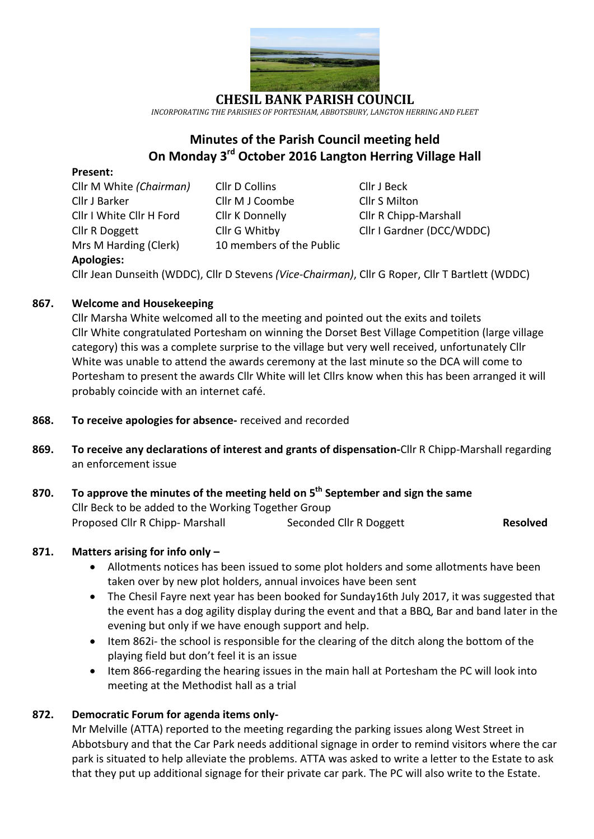

*INCORPORATING THE PARISHES OF PORTESHAM, ABBOTSBURY, LANGTON HERRING AND FLEET*

# **Minutes of the Parish Council meeting held On Monday 3 rd October 2016 Langton Herring Village Hall**

#### **Present:**

Cllr M White *(Chairman)* Cllr D Collins Cllr J Beck Cllr J Barker Cllr M J Coombe Cllr S Milton Cllr I White Cllr H Ford Cllr K Donnelly Cllr R Chipp-Marshall Mrs M Harding (Clerk)10 members of the Public **Apologies:**

Cllr R Doggett Cllr G Whitby Cllr I Gardner (DCC/WDDC)

Cllr Jean Dunseith (WDDC), Cllr D Stevens *(Vice-Chairman)*, Cllr G Roper, Cllr T Bartlett (WDDC)

## **867. Welcome and Housekeeping**

Cllr Marsha White welcomed all to the meeting and pointed out the exits and toilets Cllr White congratulated Portesham on winning the Dorset Best Village Competition (large village category) this was a complete surprise to the village but very well received, unfortunately Cllr White was unable to attend the awards ceremony at the last minute so the DCA will come to Portesham to present the awards Cllr White will let Cllrs know when this has been arranged it will probably coincide with an internet café.

- **868. To receive apologies for absence-** received and recorded
- **869. To receive any declarations of interest and grants of dispensation-**Cllr R Chipp-Marshall regarding an enforcement issue
- **870. To approve the minutes of the meeting held on 5 th September and sign the same** Cllr Beck to be added to the Working Together Group Proposed Cllr R Chipp- Marshall Seconded Cllr R Doggett **Resolved**

#### **871. Matters arising for info only –**

- Allotments notices has been issued to some plot holders and some allotments have been taken over by new plot holders, annual invoices have been sent
- The Chesil Fayre next year has been booked for Sunday16th July 2017, it was suggested that the event has a dog agility display during the event and that a BBQ, Bar and band later in the evening but only if we have enough support and help.
- Item 862i- the school is responsible for the clearing of the ditch along the bottom of the playing field but don't feel it is an issue
- Item 866-regarding the hearing issues in the main hall at Portesham the PC will look into meeting at the Methodist hall as a trial

## **872. Democratic Forum for agenda items only-**

Mr Melville (ATTA) reported to the meeting regarding the parking issues along West Street in Abbotsbury and that the Car Park needs additional signage in order to remind visitors where the car park is situated to help alleviate the problems. ATTA was asked to write a letter to the Estate to ask that they put up additional signage for their private car park. The PC will also write to the Estate.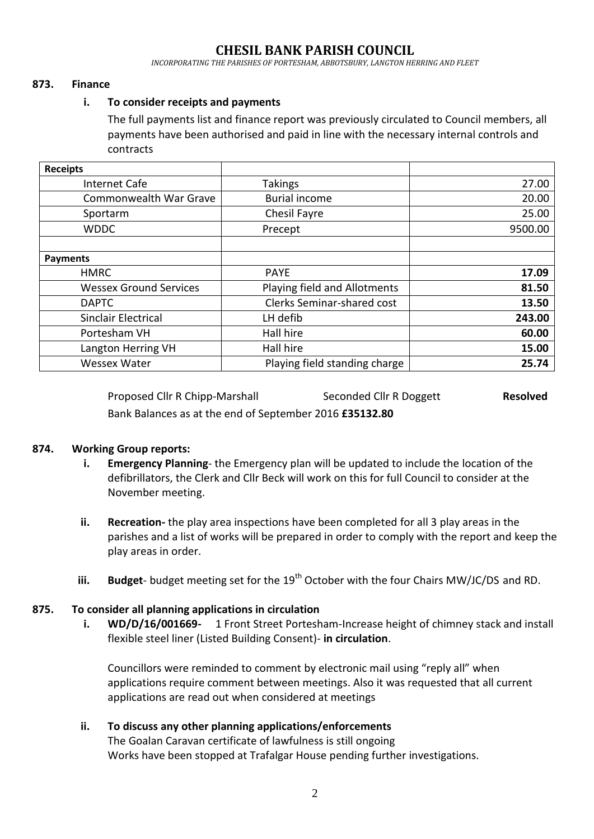*INCORPORATING THE PARISHES OF PORTESHAM, ABBOTSBURY, LANGTON HERRING AND FLEET*

#### **873. Finance**

#### **i. To consider receipts and payments**

The full payments list and finance report was previously circulated to Council members, all payments have been authorised and paid in line with the necessary internal controls and contracts

| <b>Receipts</b>               |                                   |         |
|-------------------------------|-----------------------------------|---------|
| Internet Cafe                 | <b>Takings</b>                    | 27.00   |
| Commonwealth War Grave        | <b>Burial income</b>              | 20.00   |
| Sportarm                      | Chesil Fayre                      | 25.00   |
| <b>WDDC</b>                   | Precept                           | 9500.00 |
|                               |                                   |         |
| <b>Payments</b>               |                                   |         |
| <b>HMRC</b>                   | <b>PAYE</b>                       | 17.09   |
| <b>Wessex Ground Services</b> | Playing field and Allotments      | 81.50   |
| <b>DAPTC</b>                  | <b>Clerks Seminar-shared cost</b> | 13.50   |
| <b>Sinclair Electrical</b>    | LH defib                          | 243.00  |
| Portesham VH                  | Hall hire                         | 60.00   |
| Langton Herring VH            | Hall hire                         | 15.00   |
| <b>Wessex Water</b>           | Playing field standing charge     | 25.74   |

Proposed Cllr R Chipp-Marshall Seconded Cllr R Doggett **Resolved** Bank Balances as at the end of September 2016 **£35132.80**

#### **874. Working Group reports:**

- **i. Emergency Planning** the Emergency plan will be updated to include the location of the defibrillators, the Clerk and Cllr Beck will work on this for full Council to consider at the November meeting.
- **ii. Recreation-** the play area inspections have been completed for all 3 play areas in the parishes and a list of works will be prepared in order to comply with the report and keep the play areas in order.
- iii. **Budget** budget meeting set for the 19<sup>th</sup> October with the four Chairs MW/JC/DS and RD.

#### **875. To consider all planning applications in circulation**

**i. WD/D/16/001669-** 1 Front Street Portesham-Increase height of chimney stack and install flexible steel liner (Listed Building Consent)- **in circulation**.

Councillors were reminded to comment by electronic mail using "reply all" when applications require comment between meetings. Also it was requested that all current applications are read out when considered at meetings

#### **ii. To discuss any other planning applications/enforcements**

The Goalan Caravan certificate of lawfulness is still ongoing Works have been stopped at Trafalgar House pending further investigations.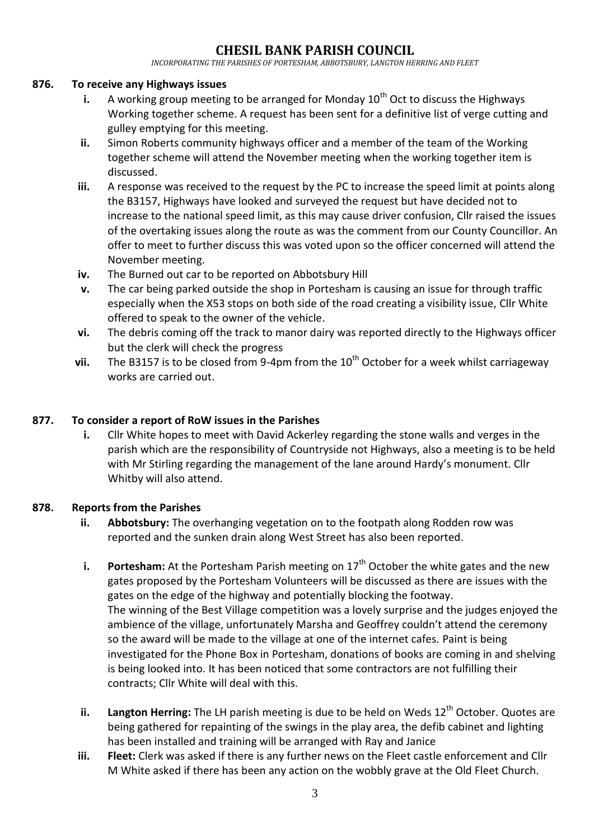*INCORPORATING THE PARISHES OF PORTESHAM, ABBOTSBURY, LANGTON HERRING AND FLEET*

#### **876. To receive any Highways issues**

- **i.** A working group meeting to be arranged for Monday 10<sup>th</sup> Oct to discuss the Highways Working together scheme. A request has been sent for a definitive list of verge cutting and gulley emptying for this meeting.
- **ii.** Simon Roberts community highways officer and a member of the team of the Working together scheme will attend the November meeting when the working together item is discussed.
- **iii.** A response was received to the request by the PC to increase the speed limit at points along the B3157, Highways have looked and surveyed the request but have decided not to increase to the national speed limit, as this may cause driver confusion, Cllr raised the issues of the overtaking issues along the route as was the comment from our County Councillor. An offer to meet to further discuss this was voted upon so the officer concerned will attend the November meeting.
- **iv.** The Burned out car to be reported on Abbotsbury Hill
- **v.** The car being parked outside the shop in Portesham is causing an issue for through traffic especially when the X53 stops on both side of the road creating a visibility issue, Cllr White offered to speak to the owner of the vehicle.
- **vi.** The debris coming off the track to manor dairy was reported directly to the Highways officer but the clerk will check the progress
- vii. The B3157 is to be closed from 9-4pm from the 10<sup>th</sup> October for a week whilst carriageway works are carried out.

#### **877. To consider a report of RoW issues in the Parishes**

**i.** Cllr White hopes to meet with David Ackerley regarding the stone walls and verges in the parish which are the responsibility of Countryside not Highways, also a meeting is to be held with Mr Stirling regarding the management of the lane around Hardy's monument. Cllr Whitby will also attend.

#### **878. Reports from the Parishes**

- **ii.** Abbotsbury: The overhanging vegetation on to the footpath along Rodden row was reported and the sunken drain along West Street has also been reported.
- **i. Portesham:** At the Portesham Parish meeting on 17<sup>th</sup> October the white gates and the new gates proposed by the Portesham Volunteers will be discussed as there are issues with the gates on the edge of the highway and potentially blocking the footway. The winning of the Best Village competition was a lovely surprise and the judges enjoyed the ambience of the village, unfortunately Marsha and Geoffrey couldn't attend the ceremony so the award will be made to the village at one of the internet cafes. Paint is being investigated for the Phone Box in Portesham, donations of books are coming in and shelving is being looked into. It has been noticed that some contractors are not fulfilling their contracts; Cllr White will deal with this.
- ii. Langton Herring: The LH parish meeting is due to be held on Weds 12<sup>th</sup> October. Quotes are being gathered for repainting of the swings in the play area, the defib cabinet and lighting has been installed and training will be arranged with Ray and Janice
- **iii. Fleet:** Clerk was asked if there is any further news on the Fleet castle enforcement and Cllr M White asked if there has been any action on the wobbly grave at the Old Fleet Church.